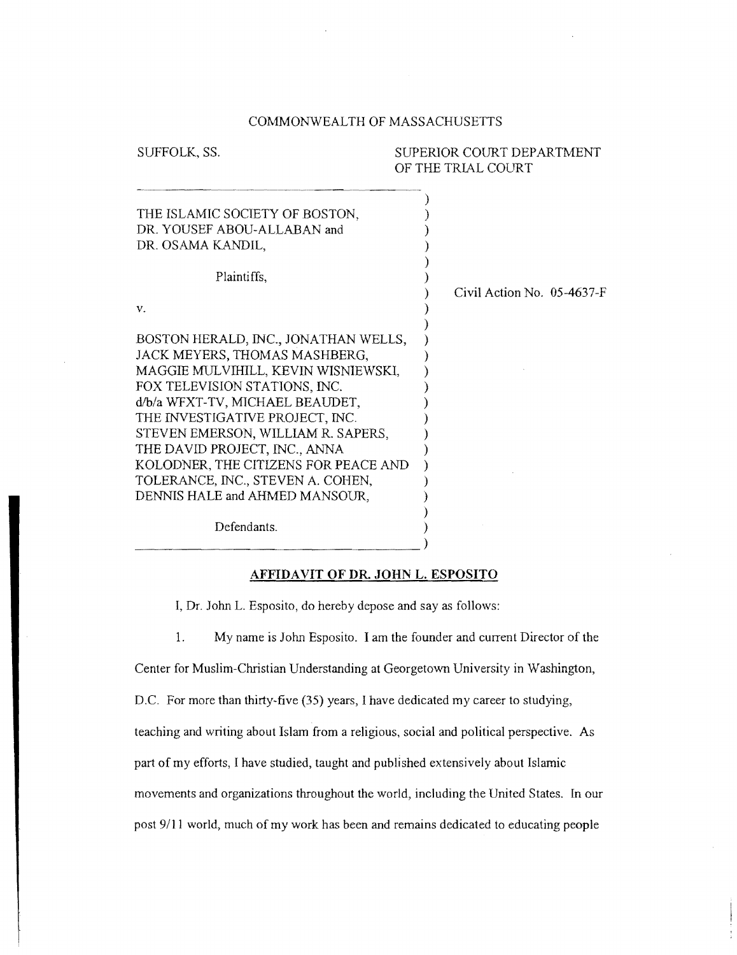## COMMONWEALTH OF MASSACHUSETTS

 $\lambda$ 

# SUFFOLK, SS. SUPERIOR COURT DEPARTMENT OF THE TRIAL COURT

| THE ISLAMIC SOCIETY OF BOSTON,<br>DR. YOUSEF ABOU-ALLABAN and<br>DR. OSAMA KANDIL,                                                                                                                                                                                                                                                                                      |                              |
|-------------------------------------------------------------------------------------------------------------------------------------------------------------------------------------------------------------------------------------------------------------------------------------------------------------------------------------------------------------------------|------------------------------|
| Plaintiffs,                                                                                                                                                                                                                                                                                                                                                             |                              |
| ν.                                                                                                                                                                                                                                                                                                                                                                      | Civil Action No. $05-4637-F$ |
| BOSTON HERALD, INC., JONATHAN WELLS,<br>JACK MEYERS, THOMAS MASHBERG,<br>MAGGIE MULVIHILL, KEVIN WISNIEWSKI,<br>FOX TELEVISION STATIONS, INC.<br>d/b/a WFXT-TV, MICHAEL BEAUDET,<br>THE INVESTIGATIVE PROJECT, INC.<br>STEVEN EMERSON, WILLIAM R. SAPERS,<br>THE DAVID PROJECT, INC., ANNA<br>KOLODNER, THE CITIZENS FOR PEACE AND<br>TOLERANCE, INC., STEVEN A. COHEN, |                              |
| DENNIS HALE and AHMED MANSOUR,                                                                                                                                                                                                                                                                                                                                          |                              |
| Defendants.                                                                                                                                                                                                                                                                                                                                                             |                              |

# **AFFIDA VIT OF DR. JOHN L.** ESPOSITO

I, Dr. John L. Esposito, do hereby depose and say as follows:

--------------------------------)

1. My name is John Esposito. I am the founder and current Director of the

Center for Muslim-Christian Understanding at Georgetown University in Washington,

D.C. For more than thirty-five (35) years, I have dedicated my career to studying,

teaching and writing about Islam from a religious, social and political perspective. As

part of my efforts, I have studied, taught and published extensively about Islamic

movements and organizations throughout the world, including the United States. In our post 9/11 world, much of my work has been and remains dedicated to educating people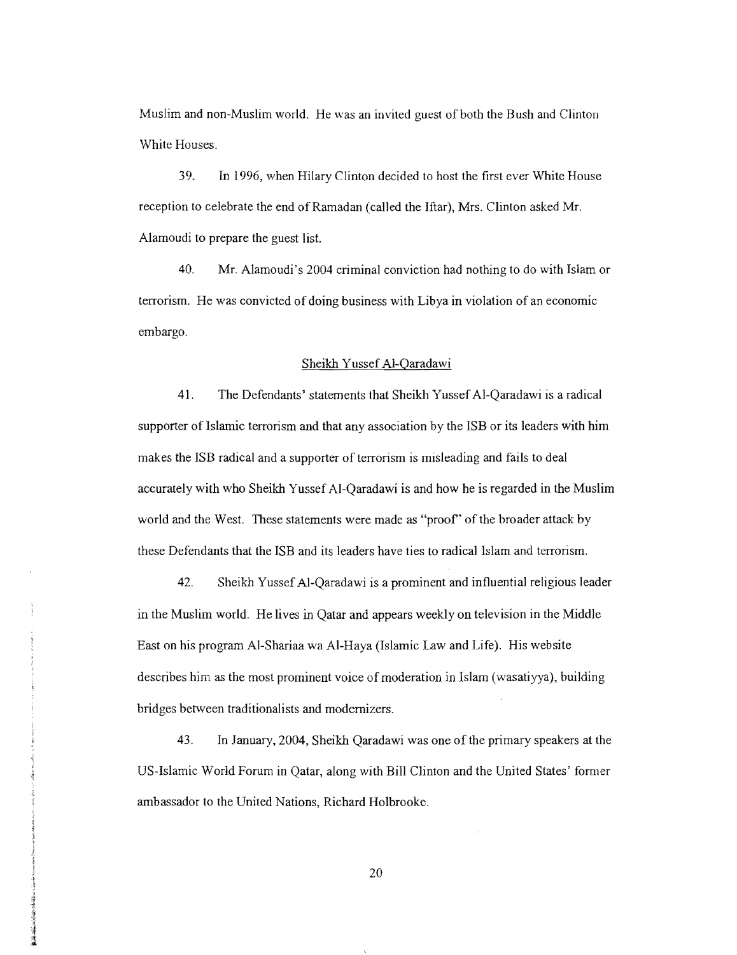Muslim and non-Muslim world. He was an invited guest of both the Bush and Clinton White Houses.

39. In 1996, when Hilary Clinton decided to host the first ever White House reception to celebrate the end of Ramadan (called the Iftar), Mrs. Clinton asked Mr. Alamoudi to prepare the guest list.

40. Mr. Alamoudi's 2004 criminal conviction had nothing to do with Islam or terrorism. He was convicted of doing business with Libya in violation of an economic embargo.

#### Sheikh Yussef AI-Qaradawi

41. The Defendants' statements that Sheikh Yussef AI-Qaradawi is a radical supporter of Islamic terrorism and that any association by the ISB or its leaders with him makes the ISB radical and a supporter of terrorism is misleading and fails to deal accurately with who Sheikh Yussef AI-Qaradawi is and how he is regarded in the Muslim world and the West. These statements were made as "proof' of the broader attack by these Defendants that the ISB and its leaders have ties to radical Islam and terrorism.

42. Sheikh Yussef Al-Qaradawi is a prominent and influential religious leader in the Muslim world. He lives in Qatar and appears weekly on television in the Middle East on his program Al-Shariaa wa AI-Haya (Islamic Law and Life). His website describes him as the most prominent voice of moderation in Islam (wasatiyya), building bridges between traditionalists and modernizers.

43. In January, 2004, Sheikh Qaradawi was one of the primary speakers at the US-Islamic World Forum in Qatar, along with Bill Clinton and the United States' former ambassador to the United Nations, Richard Holbrookc.

20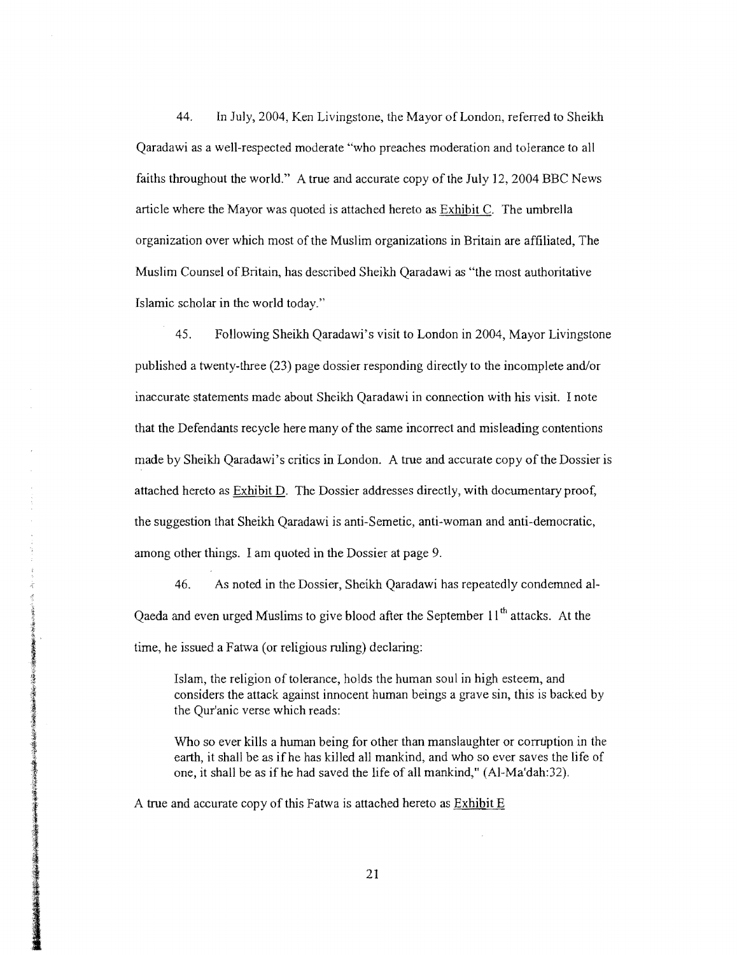44. In July, 2004, Ken Livingstone, the Mayor of London, referred to Sheikh Qaradawi as a well-respected moderate "who preaches moderation and tolerance to all faiths throughout the world." A true and accurate copy of the July 12, 2004 BBC News article where the Mayor was quoted is attached hereto as Exhibit C. The umbrella organization over which most of the Muslim organizations in Britain are affiliated, The Muslim Counsel of Britain, has described Sheikh Qaradawi as "the most authoritative Islamic scholar in the world today."

45. Following Sheikh Qaradawi's visit to London in 2004, Mayor Livingstone published a twenty-three (23) page dossier responding directly to the incomplete and/or inaccurate statements made about Sheikh Qaradawi in connection with his visit. I note that the Defendants recycle here many of the same incorrect and misleading contentions made by Sheikh Qaradawi's critics in London. A true and accurate copy of the Dossier is attached hereto as Exhibit D. The Dossier addresses directly, with documentary proof, the suggestion that Sheikh Qaradawi is anti-Semetic, anti-woman and anti-democratic, among other things. I am quoted in the Dossier at page 9.

46. As noted in the Dossier, Sheikh Qaradawi has repeatedly condemned al-Qaeda and even urged Muslims to give blood after the September  $11<sup>th</sup>$  attacks. At the time, he issued a Fatwa (or religious ruling) declaring:

Islam, the religion of tolerance, holds the human soul in high esteem, and considers the attack against innocent human beings a grave sin, this is backed by the Qur'anic verse which reads:

Who so ever kills a human being for other than manslaughter or corruption in the earth, it shall be as ifhe has killed all mankind, and who so ever saves the life of one, it shall be as ifhe had saved the life of all mankind," (AI-Ma'dah:32).

A true and accurate copy of this Fatwa is attached hereto as  $Exhibit E$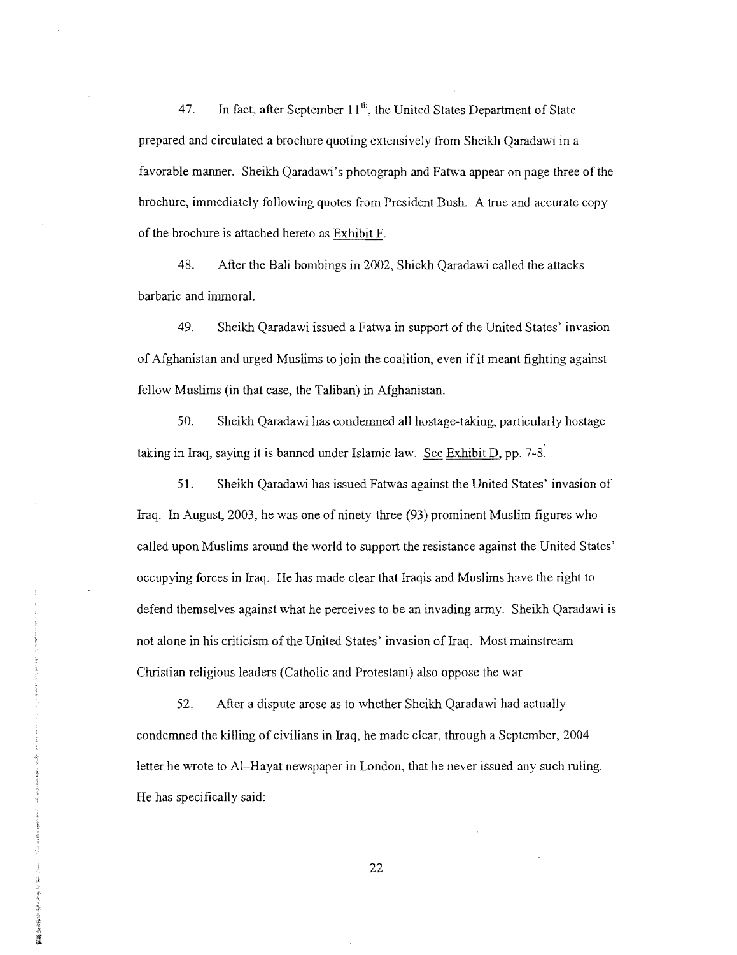47. In fact, after September 11<sup>th</sup>, the United States Department of State prepared and circulated a brochure quoting extensively from Sheikh Qaradawi in a favorable manner. Sheikh Qaradawi's photograph and Fatwa appear on page three of the brochure, immediately following quotes from President Bush. A true and accurate copy of the brochure is attached hereto as Exhibit F.

48. After the Bali bombings in 2002, Shiekh Qaradawi called the attacks barbaric and immoral.

49. Sheikh Qaradawi issued a Fatwa in support of the United States' invasion of Afghanistan and urged Muslims to join the coalition, even if it meant fighting against fellow Muslims (in that case, the Taliban) in Afghanistan.

50. Sheikh Qaradawi has condemned all hostage-taking, particularly hostage taking in Iraq, saying it is banned under Islamic law. See Exhibit D, pp. 7-8.

51. Sheikh Qaradawi has issued Fatwas against the United States' invasion of Iraq. In August, 2003, he was one of ninety-three (93) prominent Muslim figures who called upon Muslims around the world to support the resistance against the United States' occupying forces in Iraq. He has made clear that Iraqis and Muslims have the right to defend themselves against what he perceives to be an invading army. Sheikh Qaradawi is not alone in his criticism of the United States' invasion of Iraq. Most mainstream Christian religious leaders (Catholic and Protestant) also oppose the war.

52. After a dispute arose as to whether Sheikh Qaradawi had actually condemned the killing of civilians in Iraq, he made clear, through a September, 2004 letter he wrote to AI-Hayat newspaper in London, that he never issued any such ruling. He has specifically said:

医赤螺属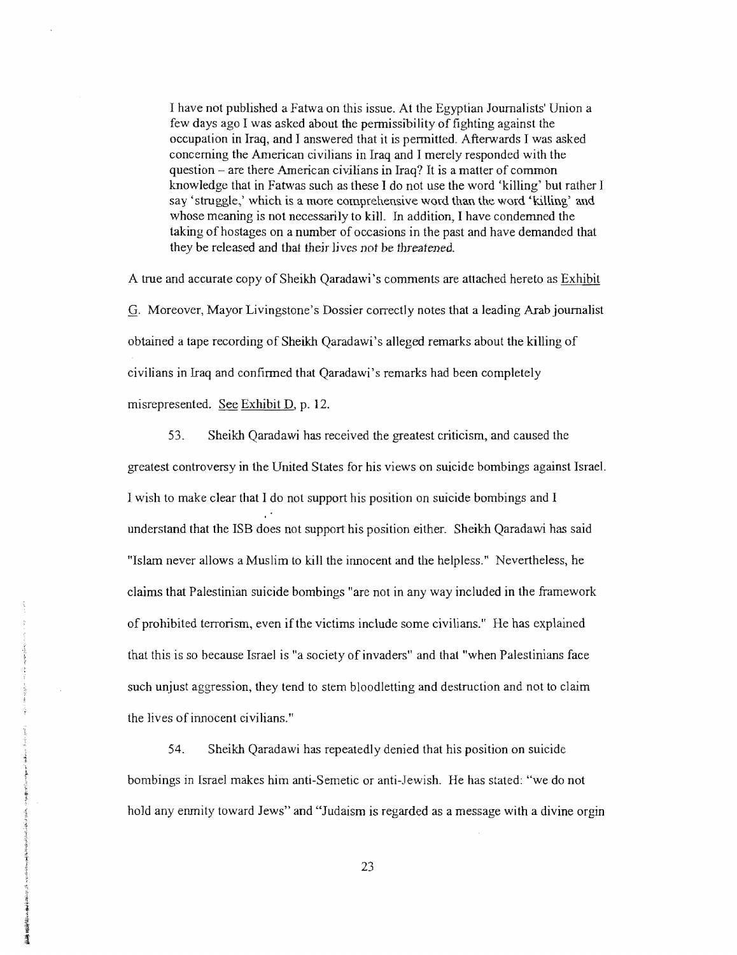I have not published a Fatwa on this issue. At the Egyptian Journalists' Union a few days ago I was asked about the pennissibility of fighting against the occupation in Iraq, and I answered that it is pennitted. Afterwards I was asked concerning the American civilians in Iraq and I merely responded with the question – are there American civilians in Iraq? It is a matter of common knowledge that in Fatwas such as these I do not use the word 'killing' but rather I say 'struggle,' which is a more comprehensive word than the word 'killing' and whose meaning is not necessarily to kill. In addition, I have condemned the taking of hostages on a number of occasions in the past and have demanded that they be released and that thejr lives *not* be threatened.

A true and accurate copy of Sheikh Qaradawi's comments are attached hereto as Exhibit G. Moreover, Mayor Livingstone's Dossier correctly notes that a leading Arab journalist obtained a tape recording of Sheikh Qaradawi's alleged remarks about the killing of civilians in Iraq and confinned that Qaradawi's remarks had been completely misrepresented. See Exhibit D, p. 12.

53. Sheikh Qaradawi has received the greatest criticism, and caused the greatest controversy in the United States for his views on suicide bombings against Israel. I wish to make clear that I do not support his position on suicide bombings and I understand that the ISB does not support his position either. Sheikh Qaradawi has said "Islam never allows a Muslim to kill the innocent and the helpless." Nevertheless, he claims that Palestinian suicide bombings "are not in any way included in the framework ofprohibited terrorism, even if the victims include some civilians." He has explained that this is so because Israel is "a society of invaders" and that "when Palestinians face such unjust aggression, they tend to stem bloodletting and destruction and not to claim the lives of innocent civilians."

54. Sheikh Qaradawi has repeatedly denied that his position on suicide bombings in Israel makes him anti-Semetic or anti-Jewish. He has stated: "we do not hold any enmity toward Jews" and "Judaism is regarded as a message with a divine orgin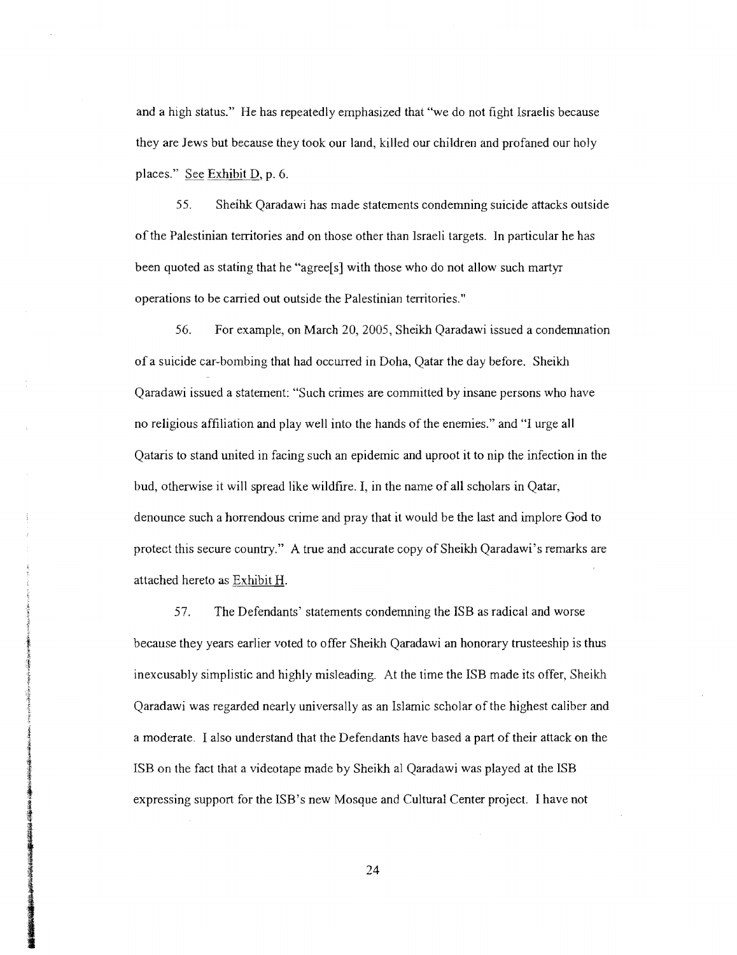and a high status." He has repeatedly emphasized that "we do not fight Israelis because they are Jews but because they took our land, killed our children and profaned our holy places." See Exhibit D, p. 6.

55. Sheihk Qaradawi has made statements condemning suicide attacks outside of the Palestinian territories and on those other than Israeli targets. In particular he has been quoted as stating that he "agree[s] with those who do not allow such martyr operations to be carried out outside the Palestinian territories."

56. For example, on March 20, 2005, Sheikh Qaradawi issued a condemnation of a suicide car-bombing that had occurred in Doha, Qatar the day before. Sheikh Qaradawi issued a statement: "Such crimes are committed by insane persons who have no religious affiliation and play well into the hands of the enemies." and "I urge all Qataris to stand united in facing such an epidemic and uproot it to nip the infection in the bud, otherwise it will spread like wildfire. I, in the name of all scholars in Qatar, denounce such a horrendous crime and pray that it would be the last and implore God to protect this secure country." A true and accurate copy of Sheikh Qaradawi's remarks are attached hereto as Exhibit H.

57. The Defendants' statements condemning the ISB as radical and worse because they years earlier voted to offer Sheikh Qaradawi an honorary trusteeship is thus inexcusably simplistic and highly misleading. At the time the ISB made its offer, Sheikh Qaradawi was regarded nearly universally as an Islamic scholar of the highest caliber and a moderate. I also understand that the Defendants have based a part of their attack on the ISB on the fact that a videotape made by Sheikh al Qaradawi was played at the ISB expressing support for the ISB's new Mosque and Cultural Center project. I have not

三、大学のことをある あいまくち

24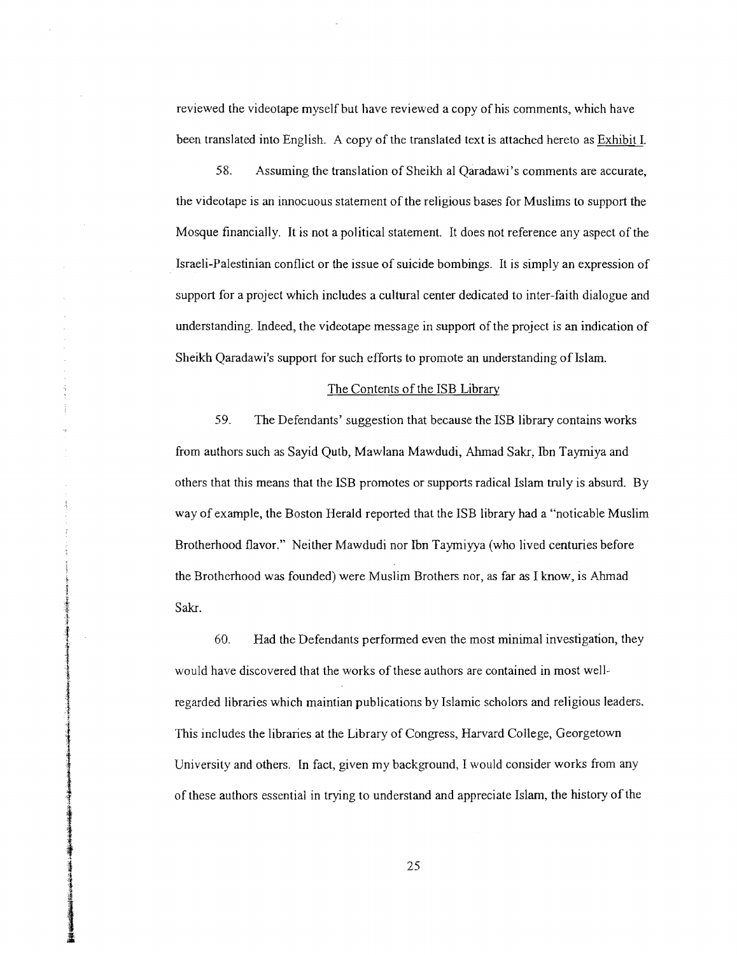reviewed the videotape myself but have reviewed a copy of his comments, which have been translated into English. A copy of the translated text is attached hereto as Exhibit L

58. Assuming the translation of Sheikh al Qaradawi's comments are accurate, the videotape is an innocuous statement ofthe religious bases for Muslims to support the Mosque financially. It is not a political statement. It does not reference any aspect of the Israeli-Palestinian conflict or the issue of suicide bombings. It is simply an expression of support for a project which includes a cultural center dedicated to inter-faith dialogue and understanding. Indeed, the videotape message in support ofthe project is an indication of Sheikh Qaradawi's support for such efforts to promote an understanding of Islam.

## The Contents of the ISB Library

59. The Defendants' suggestion that because the ISB library contains works from authors such as Sayid Qutb, Mawlana Mawdudi, Ahmad Sakr, Ibn Taymiya and others that this means that the ISB promotes or supports radical Islam truly is absurd. By way of example, the Boston Herald reported that the ISB library had a "noticable Muslim Brotherhood flavor." Neither Mawdudi nor Ibn Taymiyya (who lived centuries before the Brotherhood was founded) were Muslim Brothers nor, as far as I know, is Ahmad Sakr.

60. Had the Defendants performed even the most minimal investigation, they would have discovered that the works of these authors are contained in most wellregarded libraries which maintian publications by Islamic scholors and religious leaders. This includes the libraries at the Library of Congress, Harvard College, Georgetown University and others. In fact, given my background, I would consider works from any of these authors essential in trying to understand and appreciate Islam, the history ofthe